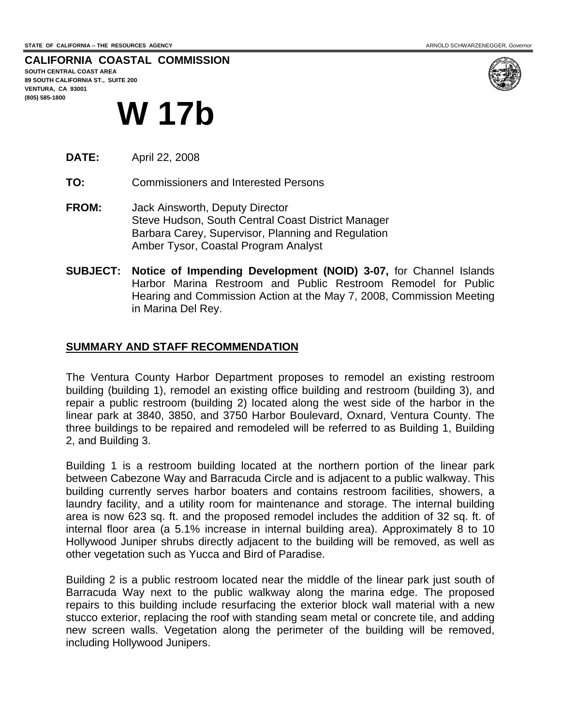**CALIFORNIA COASTAL COMMISSION SOUTH CENTRAL COAST AREA 89 SOUTH CALIFORNIA ST., SUITE 200** 

**VENTURA, CA 93001 (805) 585-1800** 



# **W 17b**

- **DATE:** April 22, 2008
- **TO:** Commissioners and Interested Persons
- **FROM:** Jack Ainsworth, Deputy Director Steve Hudson, South Central Coast District Manager Barbara Carey, Supervisor, Planning and Regulation Amber Tysor, Coastal Program Analyst
- **SUBJECT: Notice of Impending Development (NOID) 3-07,** for Channel Islands Harbor Marina Restroom and Public Restroom Remodel for Public Hearing and Commission Action at the May 7, 2008, Commission Meeting in Marina Del Rey.

### **SUMMARY AND STAFF RECOMMENDATION**

The Ventura County Harbor Department proposes to remodel an existing restroom building (building 1), remodel an existing office building and restroom (building 3), and repair a public restroom (building 2) located along the west side of the harbor in the linear park at 3840, 3850, and 3750 Harbor Boulevard, Oxnard, Ventura County. The three buildings to be repaired and remodeled will be referred to as Building 1, Building 2, and Building 3.

Building 1 is a restroom building located at the northern portion of the linear park between Cabezone Way and Barracuda Circle and is adjacent to a public walkway. This building currently serves harbor boaters and contains restroom facilities, showers, a laundry facility, and a utility room for maintenance and storage. The internal building area is now 623 sq. ft. and the proposed remodel includes the addition of 32 sq. ft. of internal floor area (a 5.1% increase in internal building area). Approximately 8 to 10 Hollywood Juniper shrubs directly adjacent to the building will be removed, as well as other vegetation such as Yucca and Bird of Paradise.

Building 2 is a public restroom located near the middle of the linear park just south of Barracuda Way next to the public walkway along the marina edge. The proposed repairs to this building include resurfacing the exterior block wall material with a new stucco exterior, replacing the roof with standing seam metal or concrete tile, and adding new screen walls. Vegetation along the perimeter of the building will be removed, including Hollywood Junipers.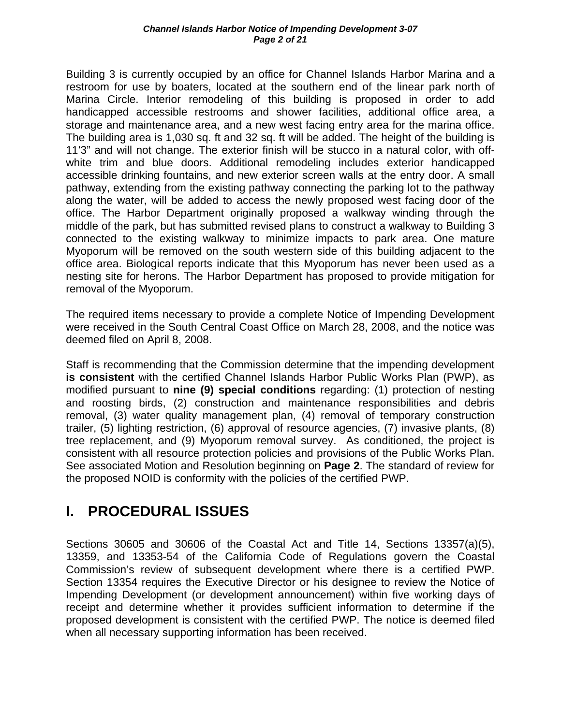Building 3 is currently occupied by an office for Channel Islands Harbor Marina and a restroom for use by boaters, located at the southern end of the linear park north of Marina Circle. Interior remodeling of this building is proposed in order to add handicapped accessible restrooms and shower facilities, additional office area, a storage and maintenance area, and a new west facing entry area for the marina office. The building area is 1,030 sq. ft and 32 sq. ft will be added. The height of the building is 11'3" and will not change. The exterior finish will be stucco in a natural color, with offwhite trim and blue doors. Additional remodeling includes exterior handicapped accessible drinking fountains, and new exterior screen walls at the entry door. A small pathway, extending from the existing pathway connecting the parking lot to the pathway along the water, will be added to access the newly proposed west facing door of the office. The Harbor Department originally proposed a walkway winding through the middle of the park, but has submitted revised plans to construct a walkway to Building 3 connected to the existing walkway to minimize impacts to park area. One mature Myoporum will be removed on the south western side of this building adjacent to the office area. Biological reports indicate that this Myoporum has never been used as a nesting site for herons. The Harbor Department has proposed to provide mitigation for removal of the Myoporum.

The required items necessary to provide a complete Notice of Impending Development were received in the South Central Coast Office on March 28, 2008, and the notice was deemed filed on April 8, 2008.

Staff is recommending that the Commission determine that the impending development **is consistent** with the certified Channel Islands Harbor Public Works Plan (PWP), as modified pursuant to **nine (9) special conditions** regarding: (1) protection of nesting and roosting birds, (2) construction and maintenance responsibilities and debris removal, (3) water quality management plan, (4) removal of temporary construction trailer, (5) lighting restriction, (6) approval of resource agencies, (7) invasive plants, (8) tree replacement, and (9) Myoporum removal survey. As conditioned, the project is consistent with all resource protection policies and provisions of the Public Works Plan. See associated Motion and Resolution beginning on **Page 2**. The standard of review for the proposed NOID is conformity with the policies of the certified PWP.

# **I. PROCEDURAL ISSUES**

Sections 30605 and 30606 of the Coastal Act and Title 14, Sections 13357(a)(5), 13359, and 13353-54 of the California Code of Regulations govern the Coastal Commission's review of subsequent development where there is a certified PWP. Section 13354 requires the Executive Director or his designee to review the Notice of Impending Development (or development announcement) within five working days of receipt and determine whether it provides sufficient information to determine if the proposed development is consistent with the certified PWP. The notice is deemed filed when all necessary supporting information has been received.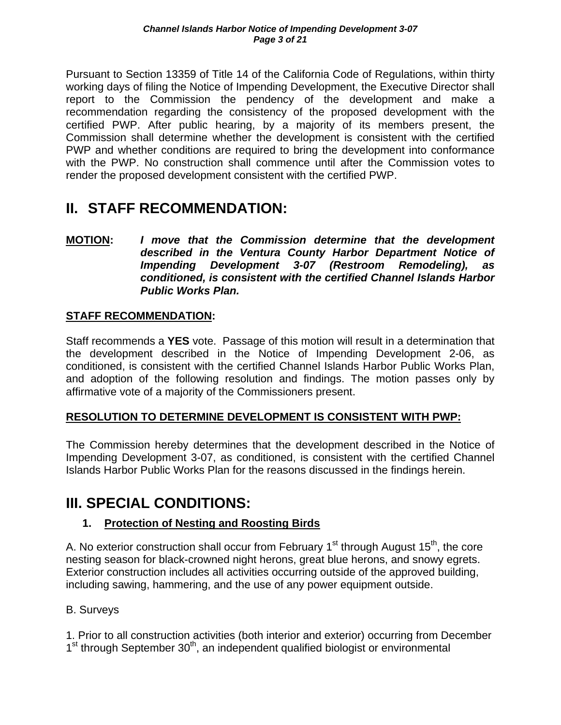Pursuant to Section 13359 of Title 14 of the California Code of Regulations, within thirty working days of filing the Notice of Impending Development, the Executive Director shall report to the Commission the pendency of the development and make a recommendation regarding the consistency of the proposed development with the certified PWP. After public hearing, by a majority of its members present, the Commission shall determine whether the development is consistent with the certified PWP and whether conditions are required to bring the development into conformance with the PWP. No construction shall commence until after the Commission votes to render the proposed development consistent with the certified PWP.

# **II. STAFF RECOMMENDATION:**

**MOTION:** *I move that the Commission determine that the development described in the Ventura County Harbor Department Notice of Impending Development 3-07 (Restroom Remodeling), as conditioned, is consistent with the certified Channel Islands Harbor Public Works Plan.* 

### **STAFF RECOMMENDATION:**

Staff recommends a **YES** vote. Passage of this motion will result in a determination that the development described in the Notice of Impending Development 2-06, as conditioned, is consistent with the certified Channel Islands Harbor Public Works Plan, and adoption of the following resolution and findings. The motion passes only by affirmative vote of a majority of the Commissioners present.

### **RESOLUTION TO DETERMINE DEVELOPMENT IS CONSISTENT WITH PWP:**

The Commission hereby determines that the development described in the Notice of Impending Development 3-07, as conditioned, is consistent with the certified Channel Islands Harbor Public Works Plan for the reasons discussed in the findings herein.

# **III. SPECIAL CONDITIONS:**

### **1. Protection of Nesting and Roosting Birds**

A. No exterior construction shall occur from February  $1<sup>st</sup>$  through August  $15<sup>th</sup>$ , the core nesting season for black-crowned night herons, great blue herons, and snowy egrets. Exterior construction includes all activities occurring outside of the approved building, including sawing, hammering, and the use of any power equipment outside.

### B. Surveys

1. Prior to all construction activities (both interior and exterior) occurring from December  $1<sup>st</sup>$  through September 30<sup>th</sup>, an independent qualified biologist or environmental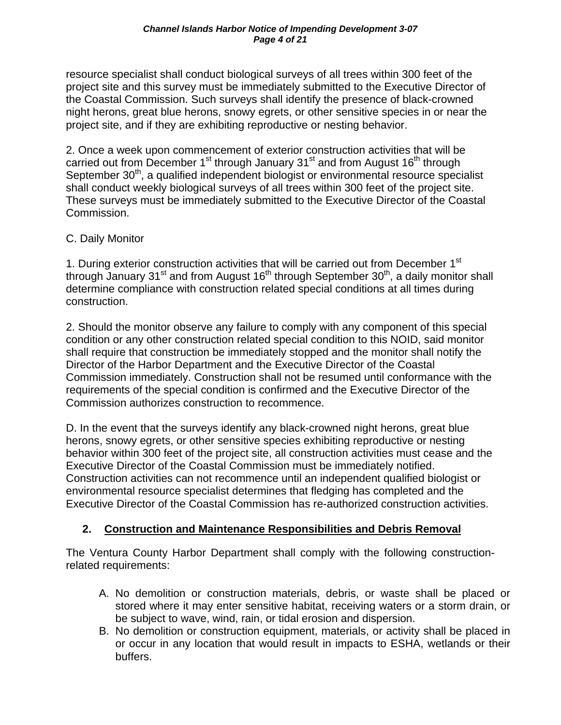resource specialist shall conduct biological surveys of all trees within 300 feet of the project site and this survey must be immediately submitted to the Executive Director of the Coastal Commission. Such surveys shall identify the presence of black-crowned night herons, great blue herons, snowy egrets, or other sensitive species in or near the project site, and if they are exhibiting reproductive or nesting behavior.

2. Once a week upon commencement of exterior construction activities that will be carried out from December 1<sup>st</sup> through January 31<sup>st</sup> and from August 16<sup>th</sup> through September 30<sup>th</sup>, a qualified independent biologist or environmental resource specialist shall conduct weekly biological surveys of all trees within 300 feet of the project site. These surveys must be immediately submitted to the Executive Director of the Coastal Commission.

### C. Daily Monitor

1. During exterior construction activities that will be carried out from December 1<sup>st</sup> through January 31 $\mathrm{st}$  and from August 16<sup>th</sup> through September 30<sup>th</sup>, a daily monitor shall determine compliance with construction related special conditions at all times during construction.

2. Should the monitor observe any failure to comply with any component of this special condition or any other construction related special condition to this NOID, said monitor shall require that construction be immediately stopped and the monitor shall notify the Director of the Harbor Department and the Executive Director of the Coastal Commission immediately. Construction shall not be resumed until conformance with the requirements of the special condition is confirmed and the Executive Director of the Commission authorizes construction to recommence.

D. In the event that the surveys identify any black-crowned night herons, great blue herons, snowy egrets, or other sensitive species exhibiting reproductive or nesting behavior within 300 feet of the project site, all construction activities must cease and the Executive Director of the Coastal Commission must be immediately notified. Construction activities can not recommence until an independent qualified biologist or environmental resource specialist determines that fledging has completed and the Executive Director of the Coastal Commission has re-authorized construction activities.

### **2. Construction and Maintenance Responsibilities and Debris Removal**

The Ventura County Harbor Department shall comply with the following constructionrelated requirements:

- A. No demolition or construction materials, debris, or waste shall be placed or stored where it may enter sensitive habitat, receiving waters or a storm drain, or be subject to wave, wind, rain, or tidal erosion and dispersion.
- B. No demolition or construction equipment, materials, or activity shall be placed in or occur in any location that would result in impacts to ESHA, wetlands or their buffers.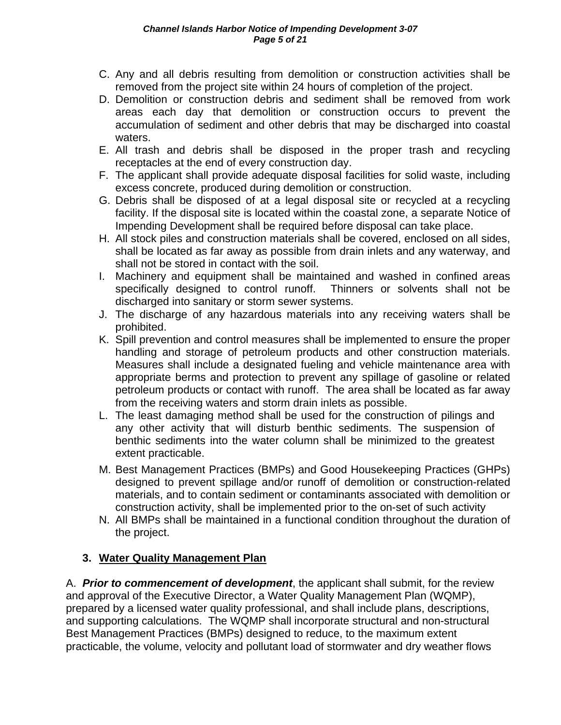- C. Any and all debris resulting from demolition or construction activities shall be removed from the project site within 24 hours of completion of the project.
- D. Demolition or construction debris and sediment shall be removed from work areas each day that demolition or construction occurs to prevent the accumulation of sediment and other debris that may be discharged into coastal waters.
- E. All trash and debris shall be disposed in the proper trash and recycling receptacles at the end of every construction day.
- F. The applicant shall provide adequate disposal facilities for solid waste, including excess concrete, produced during demolition or construction.
- G. Debris shall be disposed of at a legal disposal site or recycled at a recycling facility. If the disposal site is located within the coastal zone, a separate Notice of Impending Development shall be required before disposal can take place.
- H. All stock piles and construction materials shall be covered, enclosed on all sides, shall be located as far away as possible from drain inlets and any waterway, and shall not be stored in contact with the soil.
- I. Machinery and equipment shall be maintained and washed in confined areas specifically designed to control runoff. Thinners or solvents shall not be discharged into sanitary or storm sewer systems.
- J. The discharge of any hazardous materials into any receiving waters shall be prohibited.
- K. Spill prevention and control measures shall be implemented to ensure the proper handling and storage of petroleum products and other construction materials. Measures shall include a designated fueling and vehicle maintenance area with appropriate berms and protection to prevent any spillage of gasoline or related petroleum products or contact with runoff. The area shall be located as far away from the receiving waters and storm drain inlets as possible.
- L. The least damaging method shall be used for the construction of pilings and any other activity that will disturb benthic sediments. The suspension of benthic sediments into the water column shall be minimized to the greatest extent practicable.
- M. Best Management Practices (BMPs) and Good Housekeeping Practices (GHPs) designed to prevent spillage and/or runoff of demolition or construction-related materials, and to contain sediment or contaminants associated with demolition or construction activity, shall be implemented prior to the on-set of such activity
- N. All BMPs shall be maintained in a functional condition throughout the duration of the project.

### **3. Water Quality Management Plan**

A. *Prior to commencement of development*, the applicant shall submit, for the review and approval of the Executive Director, a Water Quality Management Plan (WQMP), prepared by a licensed water quality professional, and shall include plans, descriptions, and supporting calculations. The WQMP shall incorporate structural and non-structural Best Management Practices (BMPs) designed to reduce, to the maximum extent practicable, the volume, velocity and pollutant load of stormwater and dry weather flows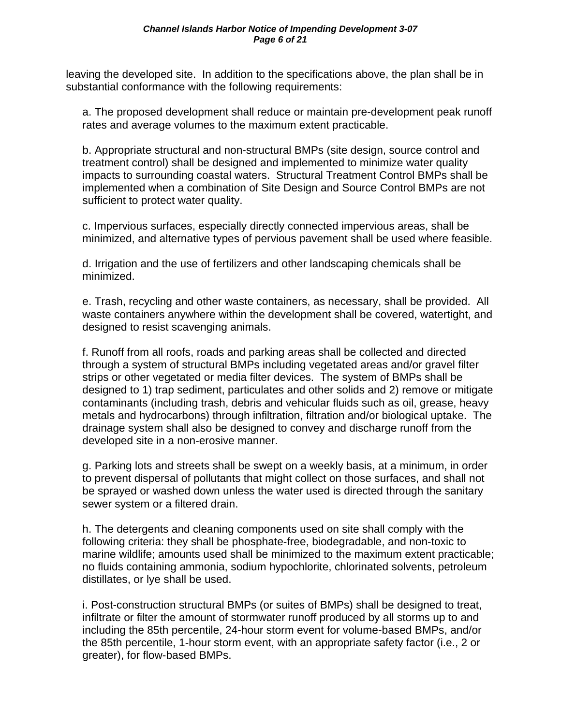leaving the developed site. In addition to the specifications above, the plan shall be in substantial conformance with the following requirements:

a. The proposed development shall reduce or maintain pre-development peak runoff rates and average volumes to the maximum extent practicable.

b. Appropriate structural and non-structural BMPs (site design, source control and treatment control) shall be designed and implemented to minimize water quality impacts to surrounding coastal waters. Structural Treatment Control BMPs shall be implemented when a combination of Site Design and Source Control BMPs are not sufficient to protect water quality.

c. Impervious surfaces, especially directly connected impervious areas, shall be minimized, and alternative types of pervious pavement shall be used where feasible.

d. Irrigation and the use of fertilizers and other landscaping chemicals shall be minimized.

e. Trash, recycling and other waste containers, as necessary, shall be provided. All waste containers anywhere within the development shall be covered, watertight, and designed to resist scavenging animals.

f. Runoff from all roofs, roads and parking areas shall be collected and directed through a system of structural BMPs including vegetated areas and/or gravel filter strips or other vegetated or media filter devices. The system of BMPs shall be designed to 1) trap sediment, particulates and other solids and 2) remove or mitigate contaminants (including trash, debris and vehicular fluids such as oil, grease, heavy metals and hydrocarbons) through infiltration, filtration and/or biological uptake. The drainage system shall also be designed to convey and discharge runoff from the developed site in a non-erosive manner.

g. Parking lots and streets shall be swept on a weekly basis, at a minimum, in order to prevent dispersal of pollutants that might collect on those surfaces, and shall not be sprayed or washed down unless the water used is directed through the sanitary sewer system or a filtered drain.

h. The detergents and cleaning components used on site shall comply with the following criteria: they shall be phosphate-free, biodegradable, and non-toxic to marine wildlife; amounts used shall be minimized to the maximum extent practicable; no fluids containing ammonia, sodium hypochlorite, chlorinated solvents, petroleum distillates, or lye shall be used.

i. Post-construction structural BMPs (or suites of BMPs) shall be designed to treat, infiltrate or filter the amount of stormwater runoff produced by all storms up to and including the 85th percentile, 24-hour storm event for volume-based BMPs, and/or the 85th percentile, 1-hour storm event, with an appropriate safety factor (i.e., 2 or greater), for flow-based BMPs.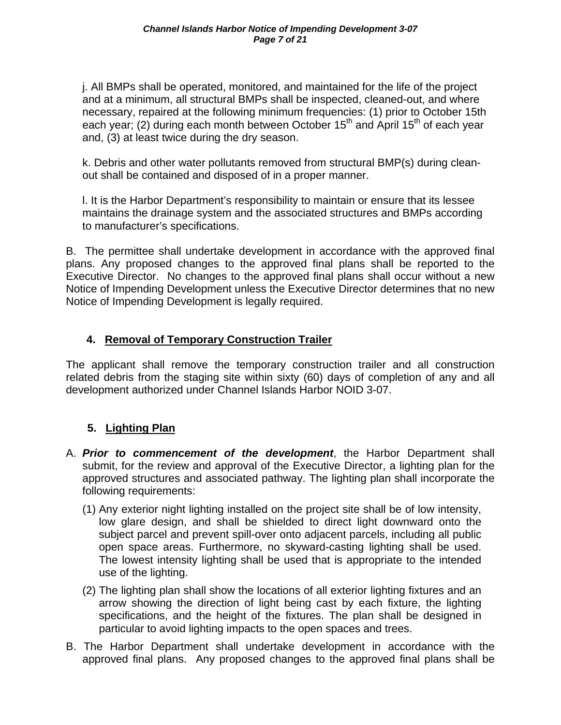j. All BMPs shall be operated, monitored, and maintained for the life of the project and at a minimum, all structural BMPs shall be inspected, cleaned-out, and where necessary, repaired at the following minimum frequencies: (1) prior to October 15th each year; (2) during each month between October 15<sup>th</sup> and April 15<sup>th</sup> of each year and, (3) at least twice during the dry season.

k. Debris and other water pollutants removed from structural BMP(s) during cleanout shall be contained and disposed of in a proper manner.

l. It is the Harbor Department's responsibility to maintain or ensure that its lessee maintains the drainage system and the associated structures and BMPs according to manufacturer's specifications.

B. The permittee shall undertake development in accordance with the approved final plans. Any proposed changes to the approved final plans shall be reported to the Executive Director. No changes to the approved final plans shall occur without a new Notice of Impending Development unless the Executive Director determines that no new Notice of Impending Development is legally required.

### **4. Removal of Temporary Construction Trailer**

The applicant shall remove the temporary construction trailer and all construction related debris from the staging site within sixty (60) days of completion of any and all development authorized under Channel Islands Harbor NOID 3-07.

### **5. Lighting Plan**

- A. *Prior to commencement of the development*, the Harbor Department shall submit, for the review and approval of the Executive Director, a lighting plan for the approved structures and associated pathway. The lighting plan shall incorporate the following requirements:
	- (1) Any exterior night lighting installed on the project site shall be of low intensity, low glare design, and shall be shielded to direct light downward onto the subject parcel and prevent spill-over onto adjacent parcels, including all public open space areas. Furthermore, no skyward-casting lighting shall be used. The lowest intensity lighting shall be used that is appropriate to the intended use of the lighting.
	- (2) The lighting plan shall show the locations of all exterior lighting fixtures and an arrow showing the direction of light being cast by each fixture, the lighting specifications, and the height of the fixtures. The plan shall be designed in particular to avoid lighting impacts to the open spaces and trees.
- B. The Harbor Department shall undertake development in accordance with the approved final plans. Any proposed changes to the approved final plans shall be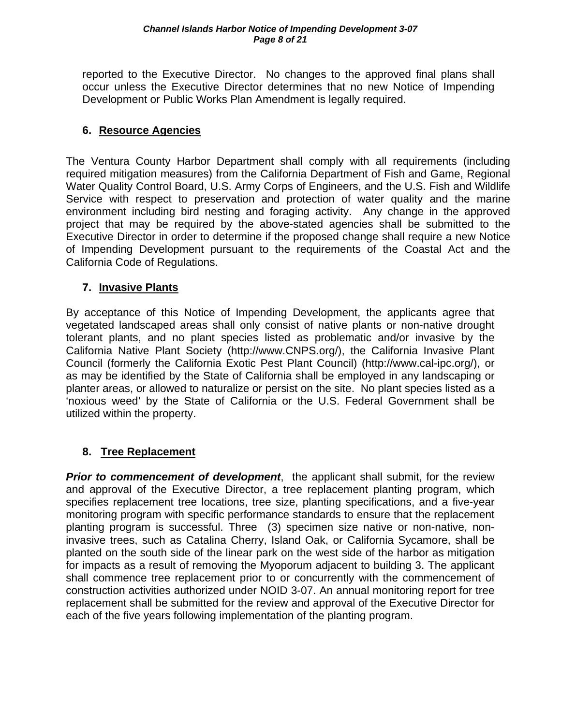reported to the Executive Director. No changes to the approved final plans shall occur unless the Executive Director determines that no new Notice of Impending Development or Public Works Plan Amendment is legally required.

### **6. Resource Agencies**

The Ventura County Harbor Department shall comply with all requirements (including required mitigation measures) from the California Department of Fish and Game, Regional Water Quality Control Board, U.S. Army Corps of Engineers, and the U.S. Fish and Wildlife Service with respect to preservation and protection of water quality and the marine environment including bird nesting and foraging activity. Any change in the approved project that may be required by the above-stated agencies shall be submitted to the Executive Director in order to determine if the proposed change shall require a new Notice of Impending Development pursuant to the requirements of the Coastal Act and the California Code of Regulations.

### **7. Invasive Plants**

By acceptance of this Notice of Impending Development, the applicants agree that vegetated landscaped areas shall only consist of native plants or non-native drought tolerant plants, and no plant species listed as problematic and/or invasive by the California Native Plant Society (http://www.CNPS.org/), the California Invasive Plant Council (formerly the California Exotic Pest Plant Council) (http://www.cal-ipc.org/), or as may be identified by the State of California shall be employed in any landscaping or planter areas, or allowed to naturalize or persist on the site. No plant species listed as a 'noxious weed' by the State of California or the U.S. Federal Government shall be utilized within the property.

### **8. Tree Replacement**

**Prior to commencement of development**, the applicant shall submit, for the review and approval of the Executive Director, a tree replacement planting program, which specifies replacement tree locations, tree size, planting specifications, and a five-year monitoring program with specific performance standards to ensure that the replacement planting program is successful. Three (3) specimen size native or non-native, noninvasive trees, such as Catalina Cherry, Island Oak, or California Sycamore, shall be planted on the south side of the linear park on the west side of the harbor as mitigation for impacts as a result of removing the Myoporum adjacent to building 3. The applicant shall commence tree replacement prior to or concurrently with the commencement of construction activities authorized under NOID 3-07. An annual monitoring report for tree replacement shall be submitted for the review and approval of the Executive Director for each of the five years following implementation of the planting program.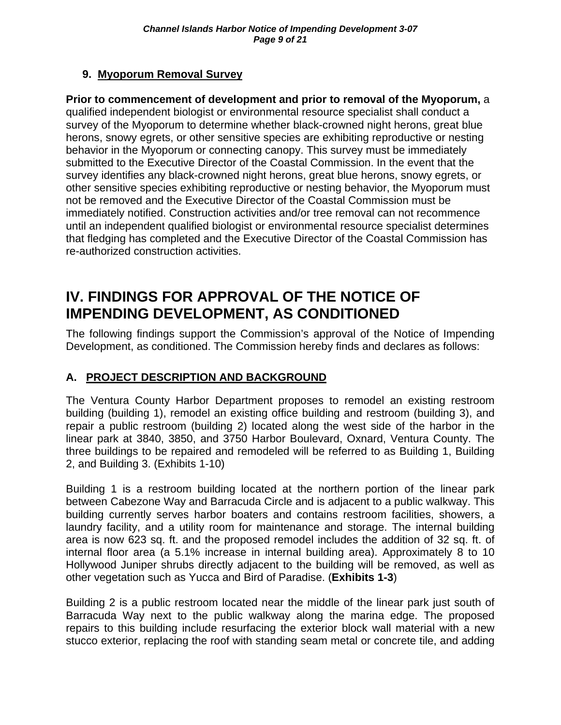### **9. Myoporum Removal Survey**

**Prior to commencement of development and prior to removal of the Myoporum,** a qualified independent biologist or environmental resource specialist shall conduct a survey of the Myoporum to determine whether black-crowned night herons, great blue herons, snowy egrets, or other sensitive species are exhibiting reproductive or nesting behavior in the Myoporum or connecting canopy. This survey must be immediately submitted to the Executive Director of the Coastal Commission. In the event that the survey identifies any black-crowned night herons, great blue herons, snowy egrets, or other sensitive species exhibiting reproductive or nesting behavior, the Myoporum must not be removed and the Executive Director of the Coastal Commission must be immediately notified. Construction activities and/or tree removal can not recommence until an independent qualified biologist or environmental resource specialist determines that fledging has completed and the Executive Director of the Coastal Commission has re-authorized construction activities.

# **IV. FINDINGS FOR APPROVAL OF THE NOTICE OF IMPENDING DEVELOPMENT, AS CONDITIONED**

The following findings support the Commission's approval of the Notice of Impending Development, as conditioned. The Commission hereby finds and declares as follows:

### **A. PROJECT DESCRIPTION AND BACKGROUND**

The Ventura County Harbor Department proposes to remodel an existing restroom building (building 1), remodel an existing office building and restroom (building 3), and repair a public restroom (building 2) located along the west side of the harbor in the linear park at 3840, 3850, and 3750 Harbor Boulevard, Oxnard, Ventura County. The three buildings to be repaired and remodeled will be referred to as Building 1, Building 2, and Building 3. (Exhibits 1-10)

Building 1 is a restroom building located at the northern portion of the linear park between Cabezone Way and Barracuda Circle and is adjacent to a public walkway. This building currently serves harbor boaters and contains restroom facilities, showers, a laundry facility, and a utility room for maintenance and storage. The internal building area is now 623 sq. ft. and the proposed remodel includes the addition of 32 sq. ft. of internal floor area (a 5.1% increase in internal building area). Approximately 8 to 10 Hollywood Juniper shrubs directly adjacent to the building will be removed, as well as other vegetation such as Yucca and Bird of Paradise. (**Exhibits 1-3**)

Building 2 is a public restroom located near the middle of the linear park just south of Barracuda Way next to the public walkway along the marina edge. The proposed repairs to this building include resurfacing the exterior block wall material with a new stucco exterior, replacing the roof with standing seam metal or concrete tile, and adding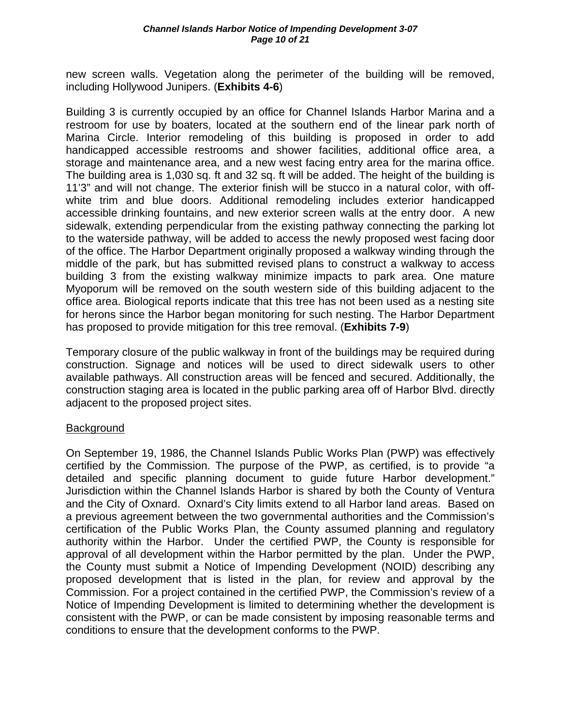new screen walls. Vegetation along the perimeter of the building will be removed, including Hollywood Junipers. (**Exhibits 4-6**)

Building 3 is currently occupied by an office for Channel Islands Harbor Marina and a restroom for use by boaters, located at the southern end of the linear park north of Marina Circle. Interior remodeling of this building is proposed in order to add handicapped accessible restrooms and shower facilities, additional office area, a storage and maintenance area, and a new west facing entry area for the marina office. The building area is 1,030 sq. ft and 32 sq. ft will be added. The height of the building is 11'3" and will not change. The exterior finish will be stucco in a natural color, with offwhite trim and blue doors. Additional remodeling includes exterior handicapped accessible drinking fountains, and new exterior screen walls at the entry door. A new sidewalk, extending perpendicular from the existing pathway connecting the parking lot to the waterside pathway, will be added to access the newly proposed west facing door of the office. The Harbor Department originally proposed a walkway winding through the middle of the park, but has submitted revised plans to construct a walkway to access building 3 from the existing walkway minimize impacts to park area. One mature Myoporum will be removed on the south western side of this building adjacent to the office area. Biological reports indicate that this tree has not been used as a nesting site for herons since the Harbor began monitoring for such nesting. The Harbor Department has proposed to provide mitigation for this tree removal. (**Exhibits 7-9**)

Temporary closure of the public walkway in front of the buildings may be required during construction. Signage and notices will be used to direct sidewalk users to other available pathways. All construction areas will be fenced and secured. Additionally, the construction staging area is located in the public parking area off of Harbor Blvd. directly adjacent to the proposed project sites.

### Background

On September 19, 1986, the Channel Islands Public Works Plan (PWP) was effectively certified by the Commission. The purpose of the PWP, as certified, is to provide "a detailed and specific planning document to guide future Harbor development." Jurisdiction within the Channel Islands Harbor is shared by both the County of Ventura and the City of Oxnard. Oxnard's City limits extend to all Harbor land areas. Based on a previous agreement between the two governmental authorities and the Commission's certification of the Public Works Plan, the County assumed planning and regulatory authority within the Harbor. Under the certified PWP, the County is responsible for approval of all development within the Harbor permitted by the plan. Under the PWP, the County must submit a Notice of Impending Development (NOID) describing any proposed development that is listed in the plan, for review and approval by the Commission. For a project contained in the certified PWP, the Commission's review of a Notice of Impending Development is limited to determining whether the development is consistent with the PWP, or can be made consistent by imposing reasonable terms and conditions to ensure that the development conforms to the PWP.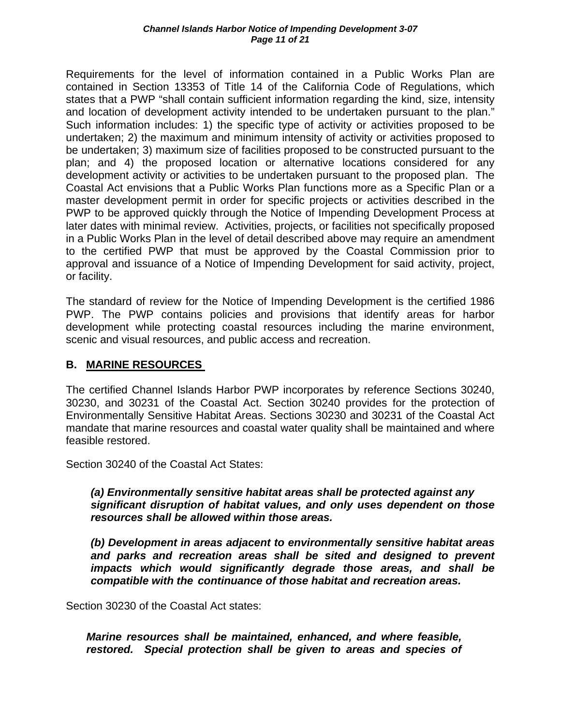Requirements for the level of information contained in a Public Works Plan are contained in Section 13353 of Title 14 of the California Code of Regulations, which states that a PWP "shall contain sufficient information regarding the kind, size, intensity and location of development activity intended to be undertaken pursuant to the plan." Such information includes: 1) the specific type of activity or activities proposed to be undertaken; 2) the maximum and minimum intensity of activity or activities proposed to be undertaken; 3) maximum size of facilities proposed to be constructed pursuant to the plan; and 4) the proposed location or alternative locations considered for any development activity or activities to be undertaken pursuant to the proposed plan. The Coastal Act envisions that a Public Works Plan functions more as a Specific Plan or a master development permit in order for specific projects or activities described in the PWP to be approved quickly through the Notice of Impending Development Process at later dates with minimal review. Activities, projects, or facilities not specifically proposed in a Public Works Plan in the level of detail described above may require an amendment to the certified PWP that must be approved by the Coastal Commission prior to approval and issuance of a Notice of Impending Development for said activity, project, or facility.

The standard of review for the Notice of Impending Development is the certified 1986 PWP. The PWP contains policies and provisions that identify areas for harbor development while protecting coastal resources including the marine environment, scenic and visual resources, and public access and recreation.

### **B. MARINE RESOURCES**

The certified Channel Islands Harbor PWP incorporates by reference Sections 30240, 30230, and 30231 of the Coastal Act. Section 30240 provides for the protection of Environmentally Sensitive Habitat Areas. Sections 30230 and 30231 of the Coastal Act mandate that marine resources and coastal water quality shall be maintained and where feasible restored.

Section 30240 of the Coastal Act States:

### *(a) Environmentally sensitive habitat areas shall be protected against any significant disruption of habitat values, and only uses dependent on those resources shall be allowed within those areas.*

 *(b) Development in areas adjacent to environmentally sensitive habitat areas*  and parks and recreation areas shall be sited and designed to prevent  *impacts which would significantly degrade those areas, and shall be compatible with the continuance of those habitat and recreation areas.*

Section 30230 of the Coastal Act states:

*Marine resources shall be maintained, enhanced, and where feasible, restored. Special protection shall be given to areas and species of*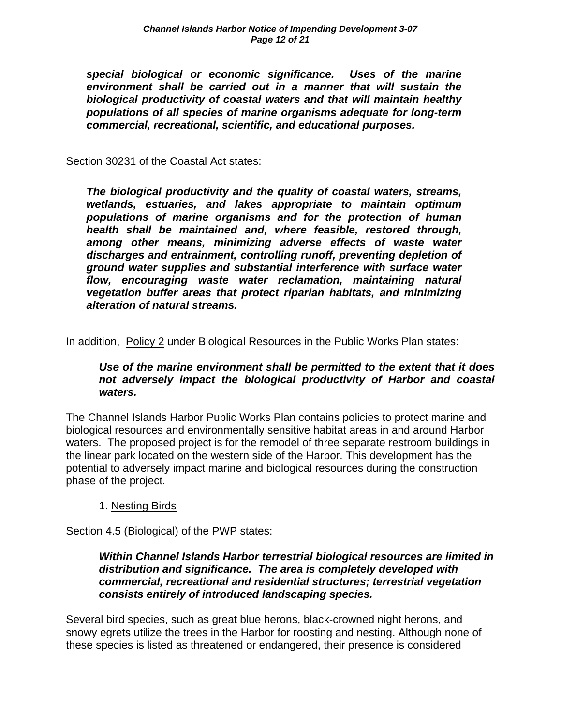*special biological or economic significance. Uses of the marine environment shall be carried out in a manner that will sustain the biological productivity of coastal waters and that will maintain healthy populations of all species of marine organisms adequate for long-term commercial, recreational, scientific, and educational purposes.* 

Section 30231 of the Coastal Act states:

*The biological productivity and the quality of coastal waters, streams, wetlands, estuaries, and lakes appropriate to maintain optimum populations of marine organisms and for the protection of human health shall be maintained and, where feasible, restored through, among other means, minimizing adverse effects of waste water discharges and entrainment, controlling runoff, preventing depletion of ground water supplies and substantial interference with surface water flow, encouraging waste water reclamation, maintaining natural vegetation buffer areas that protect riparian habitats, and minimizing alteration of natural streams.* 

In addition, Policy 2 under Biological Resources in the Public Works Plan states:

### *Use of the marine environment shall be permitted to the extent that it does not adversely impact the biological productivity of Harbor and coastal waters.*

The Channel Islands Harbor Public Works Plan contains policies to protect marine and biological resources and environmentally sensitive habitat areas in and around Harbor waters. The proposed project is for the remodel of three separate restroom buildings in the linear park located on the western side of the Harbor. This development has the potential to adversely impact marine and biological resources during the construction phase of the project.

### 1. Nesting Birds

Section 4.5 (Biological) of the PWP states:

### *Within Channel Islands Harbor terrestrial biological resources are limited in distribution and significance. The area is completely developed with commercial, recreational and residential structures; terrestrial vegetation consists entirely of introduced landscaping species.*

Several bird species, such as great blue herons, black-crowned night herons, and snowy egrets utilize the trees in the Harbor for roosting and nesting. Although none of these species is listed as threatened or endangered, their presence is considered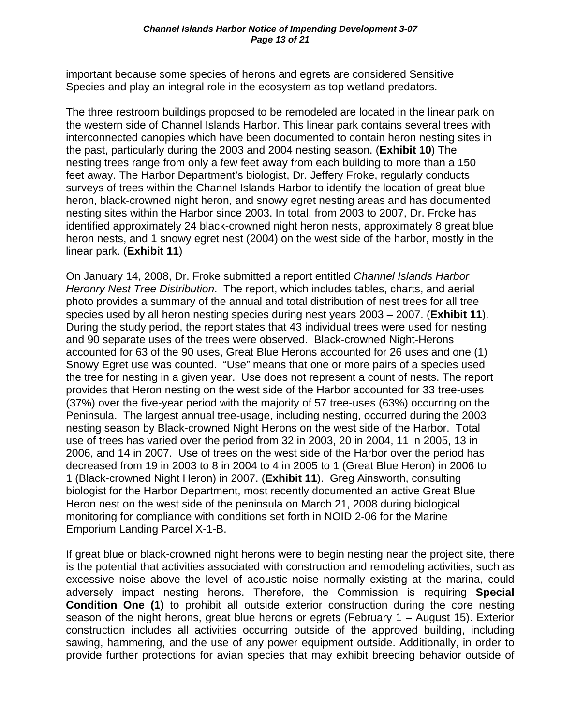important because some species of herons and egrets are considered Sensitive Species and play an integral role in the ecosystem as top wetland predators.

The three restroom buildings proposed to be remodeled are located in the linear park on the western side of Channel Islands Harbor. This linear park contains several trees with interconnected canopies which have been documented to contain heron nesting sites in the past, particularly during the 2003 and 2004 nesting season. (**Exhibit 10**) The nesting trees range from only a few feet away from each building to more than a 150 feet away. The Harbor Department's biologist, Dr. Jeffery Froke, regularly conducts surveys of trees within the Channel Islands Harbor to identify the location of great blue heron, black-crowned night heron, and snowy egret nesting areas and has documented nesting sites within the Harbor since 2003. In total, from 2003 to 2007, Dr. Froke has identified approximately 24 black-crowned night heron nests, approximately 8 great blue heron nests, and 1 snowy egret nest (2004) on the west side of the harbor, mostly in the linear park. (**Exhibit 11**)

On January 14, 2008, Dr. Froke submitted a report entitled *Channel Islands Harbor Heronry Nest Tree Distribution*. The report, which includes tables, charts, and aerial photo provides a summary of the annual and total distribution of nest trees for all tree species used by all heron nesting species during nest years 2003 – 2007. (**Exhibit 11**). During the study period, the report states that 43 individual trees were used for nesting and 90 separate uses of the trees were observed. Black-crowned Night-Herons accounted for 63 of the 90 uses, Great Blue Herons accounted for 26 uses and one (1) Snowy Egret use was counted. "Use" means that one or more pairs of a species used the tree for nesting in a given year. Use does not represent a count of nests. The report provides that Heron nesting on the west side of the Harbor accounted for 33 tree-uses (37%) over the five-year period with the majority of 57 tree-uses (63%) occurring on the Peninsula. The largest annual tree-usage, including nesting, occurred during the 2003 nesting season by Black-crowned Night Herons on the west side of the Harbor. Total use of trees has varied over the period from 32 in 2003, 20 in 2004, 11 in 2005, 13 in 2006, and 14 in 2007. Use of trees on the west side of the Harbor over the period has decreased from 19 in 2003 to 8 in 2004 to 4 in 2005 to 1 (Great Blue Heron) in 2006 to 1 (Black-crowned Night Heron) in 2007. (**Exhibit 11**). Greg Ainsworth, consulting biologist for the Harbor Department, most recently documented an active Great Blue Heron nest on the west side of the peninsula on March 21, 2008 during biological monitoring for compliance with conditions set forth in NOID 2-06 for the Marine Emporium Landing Parcel X-1-B.

If great blue or black-crowned night herons were to begin nesting near the project site, there is the potential that activities associated with construction and remodeling activities, such as excessive noise above the level of acoustic noise normally existing at the marina, could adversely impact nesting herons. Therefore, the Commission is requiring **Special Condition One (1)** to prohibit all outside exterior construction during the core nesting season of the night herons, great blue herons or egrets (February 1 – August 15). Exterior construction includes all activities occurring outside of the approved building, including sawing, hammering, and the use of any power equipment outside. Additionally, in order to provide further protections for avian species that may exhibit breeding behavior outside of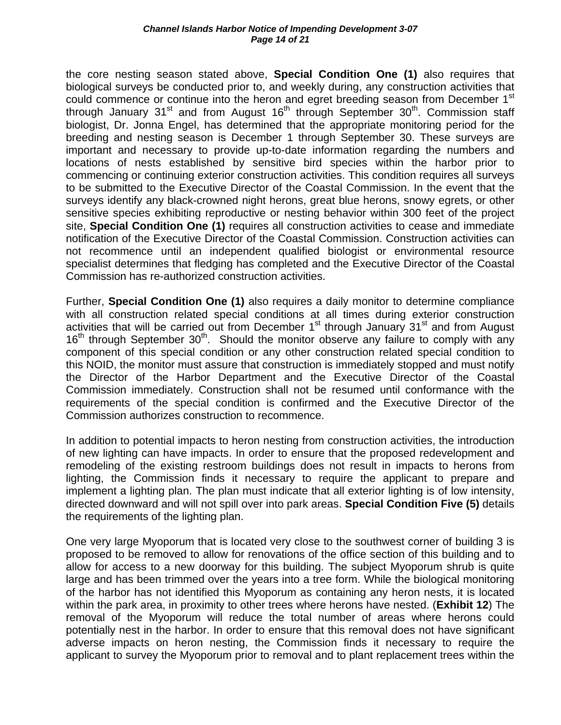the core nesting season stated above, **Special Condition One (1)** also requires that biological surveys be conducted prior to, and weekly during, any construction activities that could commence or continue into the heron and egret breeding season from December 1<sup>st</sup> through January  $31<sup>st</sup>$  and from August  $16<sup>th</sup>$  through September  $30<sup>th</sup>$ . Commission staff biologist, Dr. Jonna Engel, has determined that the appropriate monitoring period for the breeding and nesting season is December 1 through September 30. These surveys are important and necessary to provide up-to-date information regarding the numbers and locations of nests established by sensitive bird species within the harbor prior to commencing or continuing exterior construction activities. This condition requires all surveys to be submitted to the Executive Director of the Coastal Commission. In the event that the surveys identify any black-crowned night herons, great blue herons, snowy egrets, or other sensitive species exhibiting reproductive or nesting behavior within 300 feet of the project site, **Special Condition One (1)** requires all construction activities to cease and immediate notification of the Executive Director of the Coastal Commission. Construction activities can not recommence until an independent qualified biologist or environmental resource specialist determines that fledging has completed and the Executive Director of the Coastal Commission has re-authorized construction activities.

Further, **Special Condition One (1)** also requires a daily monitor to determine compliance with all construction related special conditions at all times during exterior construction activities that will be carried out from December 1<sup>st</sup> through January 31<sup>st</sup> and from August  $16<sup>th</sup>$  through September  $30<sup>th</sup>$ . Should the monitor observe any failure to comply with any component of this special condition or any other construction related special condition to this NOID, the monitor must assure that construction is immediately stopped and must notify the Director of the Harbor Department and the Executive Director of the Coastal Commission immediately. Construction shall not be resumed until conformance with the requirements of the special condition is confirmed and the Executive Director of the Commission authorizes construction to recommence.

In addition to potential impacts to heron nesting from construction activities, the introduction of new lighting can have impacts. In order to ensure that the proposed redevelopment and remodeling of the existing restroom buildings does not result in impacts to herons from lighting, the Commission finds it necessary to require the applicant to prepare and implement a lighting plan. The plan must indicate that all exterior lighting is of low intensity, directed downward and will not spill over into park areas. **Special Condition Five (5)** details the requirements of the lighting plan.

One very large Myoporum that is located very close to the southwest corner of building 3 is proposed to be removed to allow for renovations of the office section of this building and to allow for access to a new doorway for this building. The subject Myoporum shrub is quite large and has been trimmed over the years into a tree form. While the biological monitoring of the harbor has not identified this Myoporum as containing any heron nests, it is located within the park area, in proximity to other trees where herons have nested. (**Exhibit 12**) The removal of the Myoporum will reduce the total number of areas where herons could potentially nest in the harbor. In order to ensure that this removal does not have significant adverse impacts on heron nesting, the Commission finds it necessary to require the applicant to survey the Myoporum prior to removal and to plant replacement trees within the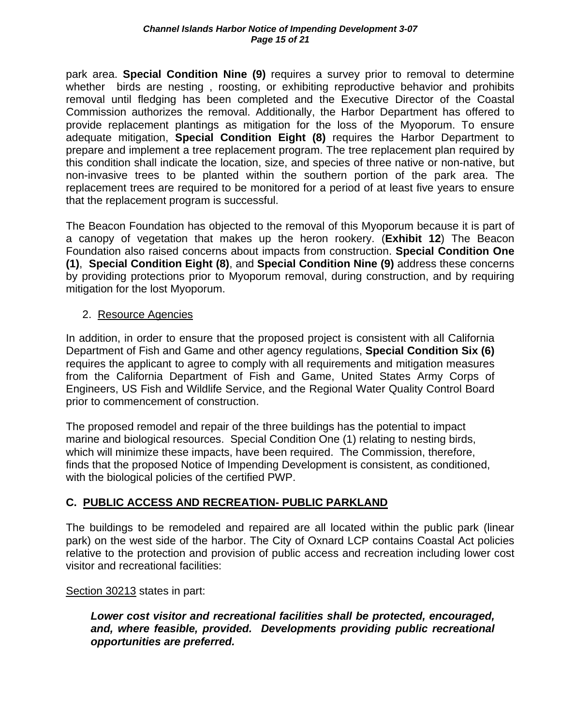park area. **Special Condition Nine (9)** requires a survey prior to removal to determine whether birds are nesting , roosting, or exhibiting reproductive behavior and prohibits removal until fledging has been completed and the Executive Director of the Coastal Commission authorizes the removal. Additionally, the Harbor Department has offered to provide replacement plantings as mitigation for the loss of the Myoporum. To ensure adequate mitigation, **Special Condition Eight (8)** requires the Harbor Department to prepare and implement a tree replacement program. The tree replacement plan required by this condition shall indicate the location, size, and species of three native or non-native, but non-invasive trees to be planted within the southern portion of the park area. The replacement trees are required to be monitored for a period of at least five years to ensure that the replacement program is successful.

The Beacon Foundation has objected to the removal of this Myoporum because it is part of a canopy of vegetation that makes up the heron rookery. (**Exhibit 12**) The Beacon Foundation also raised concerns about impacts from construction. **Special Condition One (1)**, **Special Condition Eight (8)**, and **Special Condition Nine (9)** address these concerns by providing protections prior to Myoporum removal, during construction, and by requiring mitigation for the lost Myoporum.

### 2. Resource Agencies

In addition, in order to ensure that the proposed project is consistent with all California Department of Fish and Game and other agency regulations, **Special Condition Six (6)** requires the applicant to agree to comply with all requirements and mitigation measures from the California Department of Fish and Game, United States Army Corps of Engineers, US Fish and Wildlife Service, and the Regional Water Quality Control Board prior to commencement of construction.

The proposed remodel and repair of the three buildings has the potential to impact marine and biological resources. Special Condition One (1) relating to nesting birds, which will minimize these impacts, have been required. The Commission, therefore, finds that the proposed Notice of Impending Development is consistent, as conditioned, with the biological policies of the certified PWP.

### **C. PUBLIC ACCESS AND RECREATION- PUBLIC PARKLAND**

The buildings to be remodeled and repaired are all located within the public park (linear park) on the west side of the harbor. The City of Oxnard LCP contains Coastal Act policies relative to the protection and provision of public access and recreation including lower cost visitor and recreational facilities:

### Section 30213 states in part:

 *Lower cost visitor and recreational facilities shall be protected, encouraged, and, where feasible, provided. Developments providing public recreational opportunities are preferred.*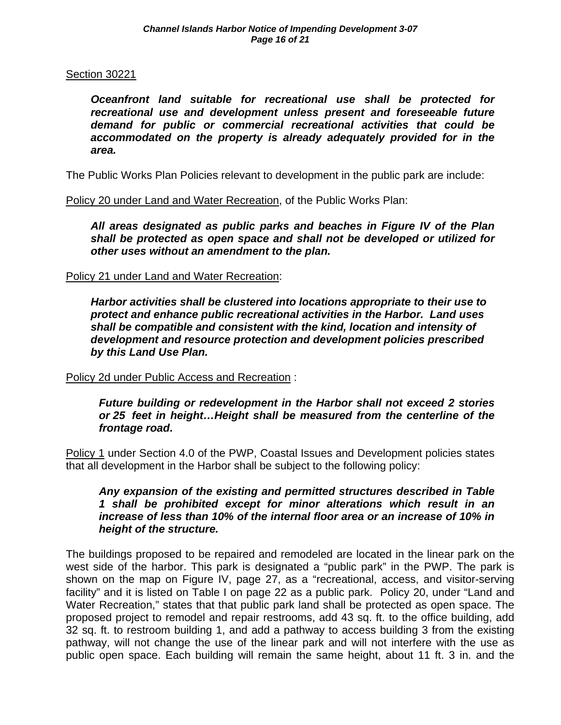### Section 30221

 *Oceanfront land suitable for recreational use shall be protected for recreational use and development unless present and foreseeable future demand for public or commercial recreational activities that could be accommodated on the property is already adequately provided for in the area.* 

The Public Works Plan Policies relevant to development in the public park are include:

Policy 20 under Land and Water Recreation, of the Public Works Plan:

*All areas designated as public parks and beaches in Figure IV of the Plan shall be protected as open space and shall not be developed or utilized for other uses without an amendment to the plan.* 

### Policy 21 under Land and Water Recreation:

*Harbor activities shall be clustered into locations appropriate to their use to protect and enhance public recreational activities in the Harbor. Land uses shall be compatible and consistent with the kind, location and intensity of development and resource protection and development policies prescribed by this Land Use Plan.* 

Policy 2d under Public Access and Recreation :

*Future building or redevelopment in the Harbor shall not exceed 2 stories or 25 feet in height…Height shall be measured from the centerline of the frontage road***.** 

Policy 1 under Section 4.0 of the PWP, Coastal Issues and Development policies states that all development in the Harbor shall be subject to the following policy:

*Any expansion of the existing and permitted structures described in Table 1 shall be prohibited except for minor alterations which result in an increase of less than 10% of the internal floor area or an increase of 10% in height of the structure.* 

The buildings proposed to be repaired and remodeled are located in the linear park on the west side of the harbor. This park is designated a "public park" in the PWP. The park is shown on the map on Figure IV, page 27, as a "recreational, access, and visitor-serving facility" and it is listed on Table I on page 22 as a public park. Policy 20, under "Land and Water Recreation," states that that public park land shall be protected as open space. The proposed project to remodel and repair restrooms, add 43 sq. ft. to the office building, add 32 sq. ft. to restroom building 1, and add a pathway to access building 3 from the existing pathway, will not change the use of the linear park and will not interfere with the use as public open space. Each building will remain the same height, about 11 ft. 3 in. and the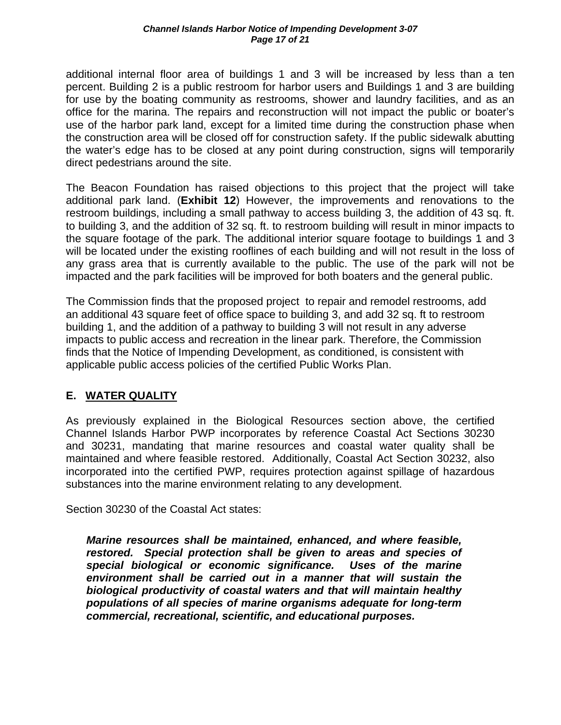additional internal floor area of buildings 1 and 3 will be increased by less than a ten percent. Building 2 is a public restroom for harbor users and Buildings 1 and 3 are building for use by the boating community as restrooms, shower and laundry facilities, and as an office for the marina. The repairs and reconstruction will not impact the public or boater's use of the harbor park land, except for a limited time during the construction phase when the construction area will be closed off for construction safety. If the public sidewalk abutting the water's edge has to be closed at any point during construction, signs will temporarily direct pedestrians around the site.

The Beacon Foundation has raised objections to this project that the project will take additional park land. (**Exhibit 12**) However, the improvements and renovations to the restroom buildings, including a small pathway to access building 3, the addition of 43 sq. ft. to building 3, and the addition of 32 sq. ft. to restroom building will result in minor impacts to the square footage of the park. The additional interior square footage to buildings 1 and 3 will be located under the existing rooflines of each building and will not result in the loss of any grass area that is currently available to the public. The use of the park will not be impacted and the park facilities will be improved for both boaters and the general public.

The Commission finds that the proposed project to repair and remodel restrooms, add an additional 43 square feet of office space to building 3, and add 32 sq. ft to restroom building 1, and the addition of a pathway to building 3 will not result in any adverse impacts to public access and recreation in the linear park. Therefore, the Commission finds that the Notice of Impending Development, as conditioned, is consistent with applicable public access policies of the certified Public Works Plan.

### **E. WATER QUALITY**

As previously explained in the Biological Resources section above, the certified Channel Islands Harbor PWP incorporates by reference Coastal Act Sections 30230 and 30231, mandating that marine resources and coastal water quality shall be maintained and where feasible restored. Additionally, Coastal Act Section 30232, also incorporated into the certified PWP, requires protection against spillage of hazardous substances into the marine environment relating to any development.

Section 30230 of the Coastal Act states:

*Marine resources shall be maintained, enhanced, and where feasible, restored. Special protection shall be given to areas and species of special biological or economic significance. Uses of the marine environment shall be carried out in a manner that will sustain the biological productivity of coastal waters and that will maintain healthy populations of all species of marine organisms adequate for long-term commercial, recreational, scientific, and educational purposes.*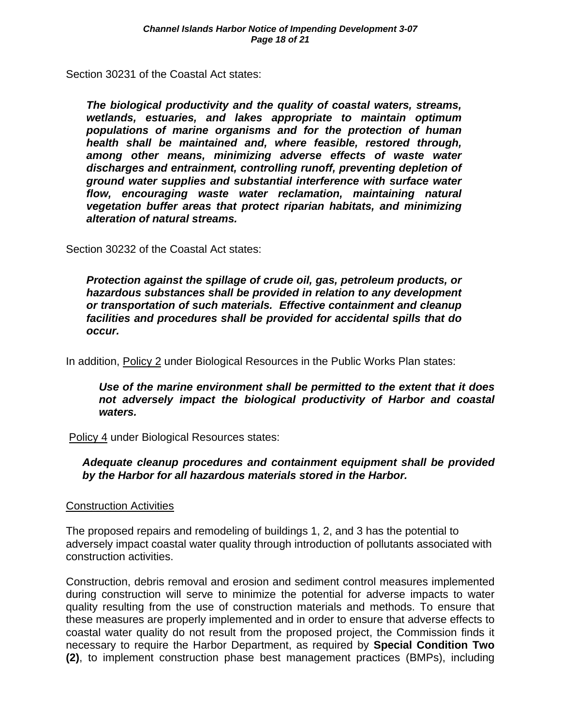Section 30231 of the Coastal Act states:

*The biological productivity and the quality of coastal waters, streams, wetlands, estuaries, and lakes appropriate to maintain optimum populations of marine organisms and for the protection of human health shall be maintained and, where feasible, restored through, among other means, minimizing adverse effects of waste water discharges and entrainment, controlling runoff, preventing depletion of ground water supplies and substantial interference with surface water flow, encouraging waste water reclamation, maintaining natural vegetation buffer areas that protect riparian habitats, and minimizing alteration of natural streams.* 

Section 30232 of the Coastal Act states:

*Protection against the spillage of crude oil, gas, petroleum products, or hazardous substances shall be provided in relation to any development or transportation of such materials. Effective containment and cleanup facilities and procedures shall be provided for accidental spills that do occur.* 

In addition, Policy 2 under Biological Resources in the Public Works Plan states:

*Use of the marine environment shall be permitted to the extent that it does not adversely impact the biological productivity of Harbor and coastal waters.* 

Policy 4 under Biological Resources states:

### *Adequate cleanup procedures and containment equipment shall be provided by the Harbor for all hazardous materials stored in the Harbor.*

### Construction Activities

The proposed repairs and remodeling of buildings 1, 2, and 3 has the potential to adversely impact coastal water quality through introduction of pollutants associated with construction activities.

Construction, debris removal and erosion and sediment control measures implemented during construction will serve to minimize the potential for adverse impacts to water quality resulting from the use of construction materials and methods. To ensure that these measures are properly implemented and in order to ensure that adverse effects to coastal water quality do not result from the proposed project, the Commission finds it necessary to require the Harbor Department, as required by **Special Condition Two (2)**, to implement construction phase best management practices (BMPs), including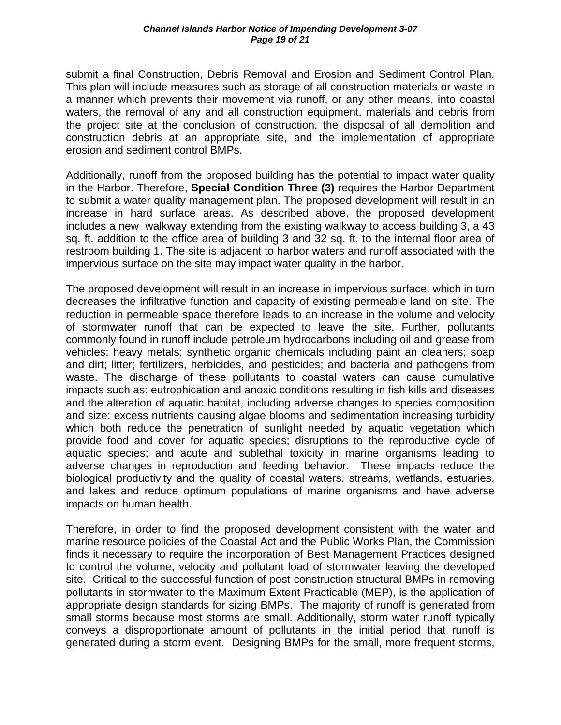submit a final Construction, Debris Removal and Erosion and Sediment Control Plan. This plan will include measures such as storage of all construction materials or waste in a manner which prevents their movement via runoff, or any other means, into coastal waters, the removal of any and all construction equipment, materials and debris from the project site at the conclusion of construction, the disposal of all demolition and construction debris at an appropriate site, and the implementation of appropriate erosion and sediment control BMPs.

Additionally, runoff from the proposed building has the potential to impact water quality in the Harbor. Therefore, **Special Condition Three (3)** requires the Harbor Department to submit a water quality management plan. The proposed development will result in an increase in hard surface areas. As described above, the proposed development includes a new walkway extending from the existing walkway to access building 3, a 43 sq. ft. addition to the office area of building 3 and 32 sq. ft. to the internal floor area of restroom building 1. The site is adjacent to harbor waters and runoff associated with the impervious surface on the site may impact water quality in the harbor.

The proposed development will result in an increase in impervious surface, which in turn decreases the infiltrative function and capacity of existing permeable land on site. The reduction in permeable space therefore leads to an increase in the volume and velocity of stormwater runoff that can be expected to leave the site. Further, pollutants commonly found in runoff include petroleum hydrocarbons including oil and grease from vehicles; heavy metals; synthetic organic chemicals including paint an cleaners; soap and dirt; litter; fertilizers, herbicides, and pesticides; and bacteria and pathogens from waste. The discharge of these pollutants to coastal waters can cause cumulative impacts such as: eutrophication and anoxic conditions resulting in fish kills and diseases and the alteration of aquatic habitat, including adverse changes to species composition and size; excess nutrients causing algae blooms and sedimentation increasing turbidity which both reduce the penetration of sunlight needed by aquatic vegetation which provide food and cover for aquatic species; disruptions to the reproductive cycle of aquatic species; and acute and sublethal toxicity in marine organisms leading to adverse changes in reproduction and feeding behavior. These impacts reduce the biological productivity and the quality of coastal waters, streams, wetlands, estuaries, and lakes and reduce optimum populations of marine organisms and have adverse impacts on human health.

Therefore, in order to find the proposed development consistent with the water and marine resource policies of the Coastal Act and the Public Works Plan, the Commission finds it necessary to require the incorporation of Best Management Practices designed to control the volume, velocity and pollutant load of stormwater leaving the developed site. Critical to the successful function of post-construction structural BMPs in removing pollutants in stormwater to the Maximum Extent Practicable (MEP), is the application of appropriate design standards for sizing BMPs. The majority of runoff is generated from small storms because most storms are small. Additionally, storm water runoff typically conveys a disproportionate amount of pollutants in the initial period that runoff is generated during a storm event. Designing BMPs for the small, more frequent storms,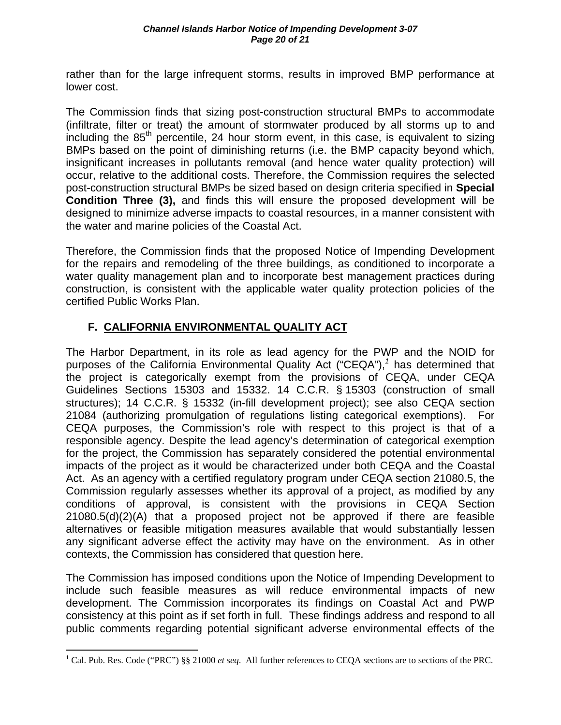rather than for the large infrequent storms, results in improved BMP performance at lower cost.

The Commission finds that sizing post-construction structural BMPs to accommodate (infiltrate, filter or treat) the amount of stormwater produced by all storms up to and including the 85<sup>th</sup> percentile, 24 hour storm event, in this case, is equivalent to sizing BMPs based on the point of diminishing returns (i.e. the BMP capacity beyond which, insignificant increases in pollutants removal (and hence water quality protection) will occur, relative to the additional costs. Therefore, the Commission requires the selected post-construction structural BMPs be sized based on design criteria specified in **Special Condition Three (3),** and finds this will ensure the proposed development will be designed to minimize adverse impacts to coastal resources, in a manner consistent with the water and marine policies of the Coastal Act.

Therefore, the Commission finds that the proposed Notice of Impending Development for the repairs and remodeling of the three buildings, as conditioned to incorporate a water quality management plan and to incorporate best management practices during construction, is consistent with the applicable water quality protection policies of the certified Public Works Plan.

### **F. CALIFORNIA ENVIRONMENTAL QUALITY ACT**

The Harbor Department, in its role as lead agency for the PWP and the NOID for purposes of the California Environmental Quality Act ("CEQA"),*<sup>1</sup>* has determined that the project is categorically exempt from the provisions of CEQA, under CEQA Guidelines Sections 15303 and 15332. 14 C.C.R. § 15303 (construction of small structures); 14 C.C.R. § 15332 (in-fill development project); see also CEQA section 21084 (authorizing promulgation of regulations listing categorical exemptions). For CEQA purposes, the Commission's role with respect to this project is that of a responsible agency. Despite the lead agency's determination of categorical exemption for the project, the Commission has separately considered the potential environmental impacts of the project as it would be characterized under both CEQA and the Coastal Act. As an agency with a certified regulatory program under CEQA section 21080.5, the Commission regularly assesses whether its approval of a project, as modified by any conditions of approval, is consistent with the provisions in CEQA Section 21080.5(d)(2)(A) that a proposed project not be approved if there are feasible alternatives or feasible mitigation measures available that would substantially lessen any significant adverse effect the activity may have on the environment. As in other contexts, the Commission has considered that question here.

The Commission has imposed conditions upon the Notice of Impending Development to include such feasible measures as will reduce environmental impacts of new development. The Commission incorporates its findings on Coastal Act and PWP consistency at this point as if set forth in full. These findings address and respond to all public comments regarding potential significant adverse environmental effects of the

1

<sup>&</sup>lt;sup>1</sup> Cal. Pub. Res. Code ("PRC") §§ 21000 *et seq*. All further references to CEQA sections are to sections of the PRC.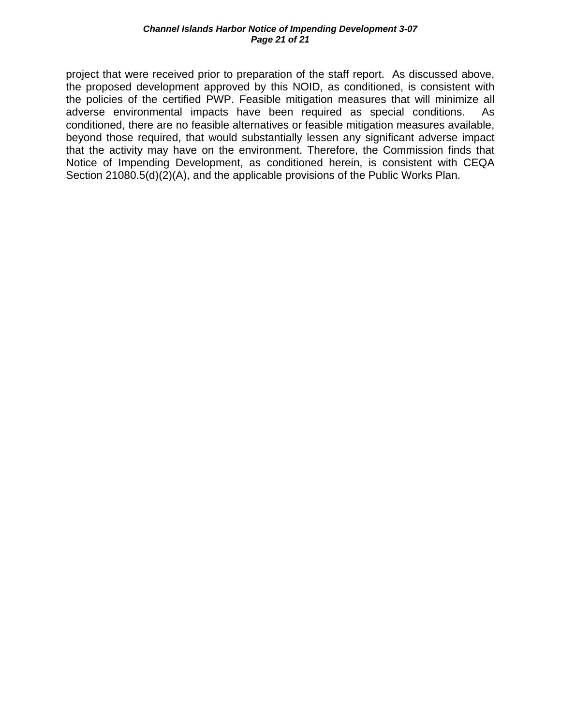project that were received prior to preparation of the staff report. As discussed above, the proposed development approved by this NOID, as conditioned, is consistent with the policies of the certified PWP. Feasible mitigation measures that will minimize all adverse environmental impacts have been required as special conditions. As conditioned, there are no feasible alternatives or feasible mitigation measures available, beyond those required, that would substantially lessen any significant adverse impact that the activity may have on the environment. Therefore, the Commission finds that Notice of Impending Development, as conditioned herein, is consistent with CEQA Section 21080.5(d)(2)(A), and the applicable provisions of the Public Works Plan.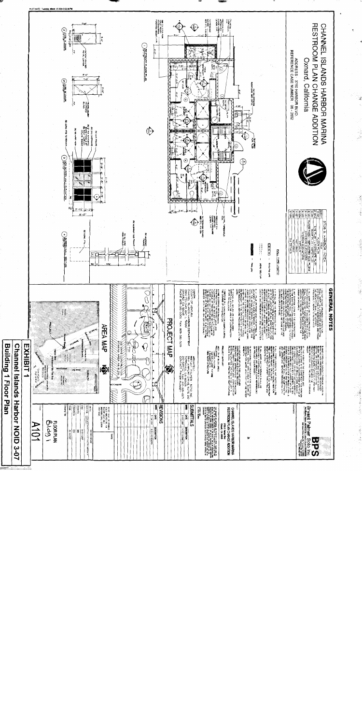

and the second control of the second

and all below.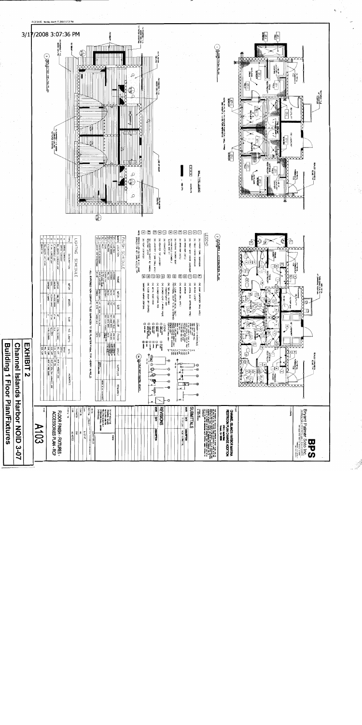

**Building 1 Floor Plan/Fixtures**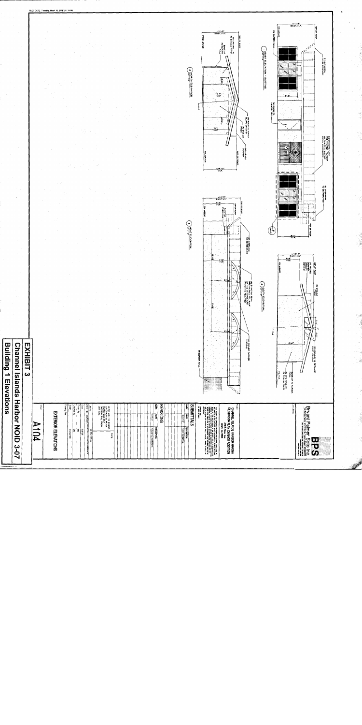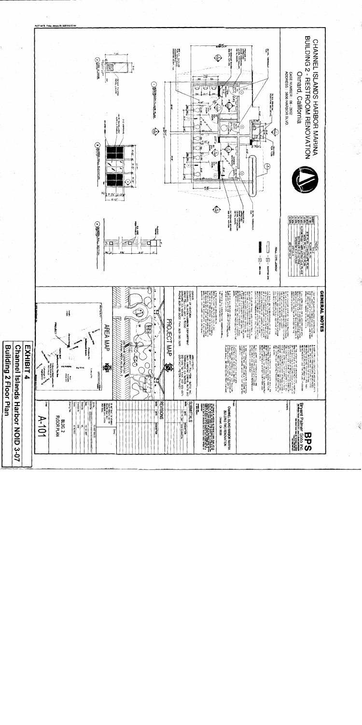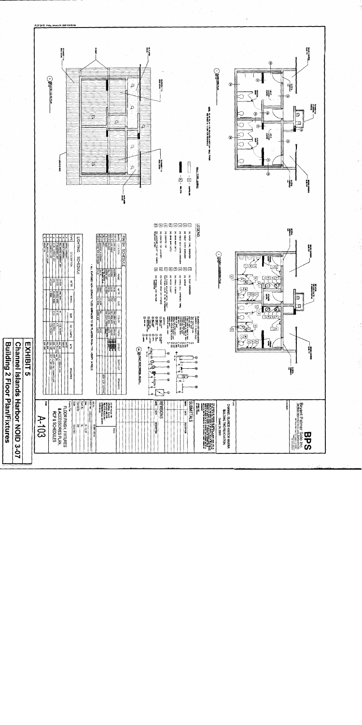

LOT DATE: Friday, January 04, 2008 9:09:

**Building 2 Floor Plan/Fixtures** 

Channel Islands Harbor NOID 3-07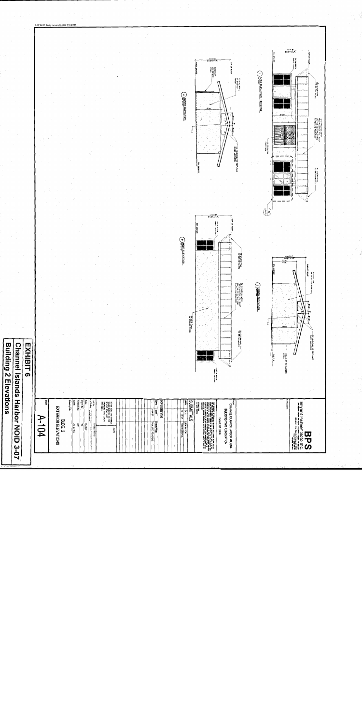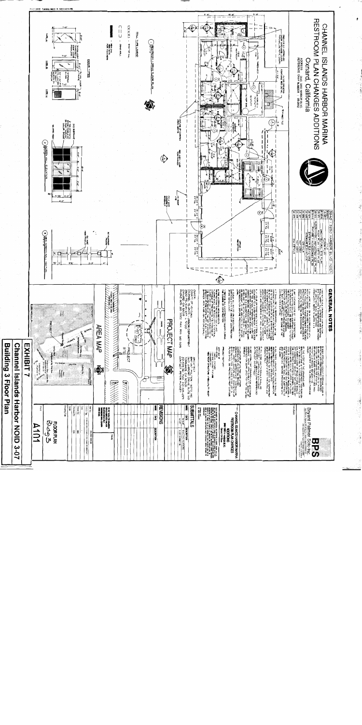

1. Albert 1

医一种 医肾上腺瘤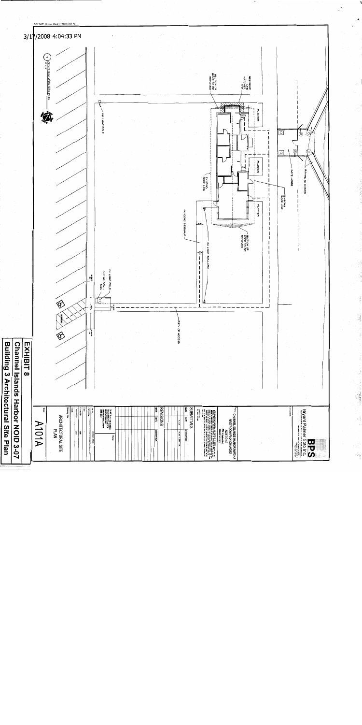

i<br>Notes

Q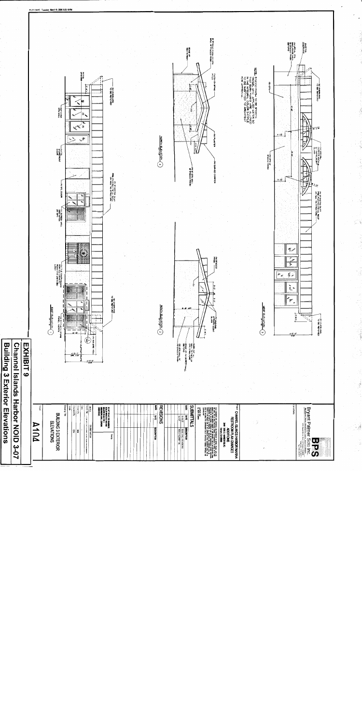

**Contract Contract** 

. الماء الأمانية المسار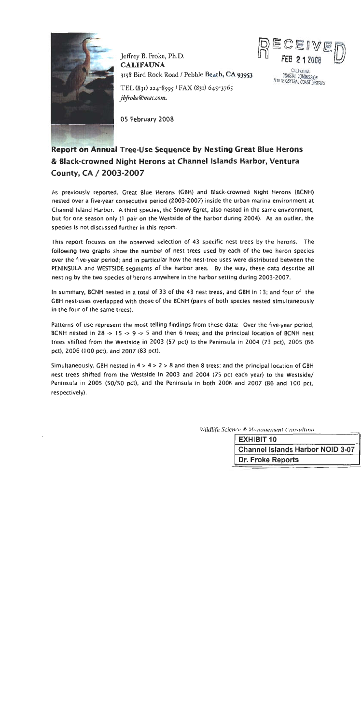

Jeffrey B. Froke, Ph.D. **CALIFAUNA** 3158 Bird Rock Road / Pebble Beach, CA 93953



**CALIFORNIAL** 

COASTAL COMMISSION SOUTH CENTRAL COAST DISTRICT

TEL (831) 224-8595 / FAX (831) 649-3765 jbfroke@mac.com

05 February 2008

# **Report on Annual Tree-Use Sequence by Nesting Great Blue Herons** & Black-crowned Night Herons at Channel Islands Harbor, Ventura County, CA / 2003-2007

As previously reported, Great Blue Herons (GBH) and Black-crowned Night Herons (BCNH) nested over a five-year consecutive period (2003-2007) inside the urban marina environment at Channel Island Harbor. A third species, the Snowy Egret, also nested in the same environment, but for one season only (1 pair on the Westside of the harbor during 2004). As an outlier, the species is not discussed further in this report.

This report focuses on the observed selection of 43 specific nest trees by the herons. The following two graphs show the number of nest trees used by each of the two heron species over the five-year period; and in particular how the nest-tree uses were distributed between the PENINSULA and WESTSIDE segments of the harbor area. By the way, these data describe all nesting by the two species of herons anywhere in the harbor setting during 2003-2007.

In summary, BCNH nested in a total of 33 of the 43 nest trees, and GBH in 13; and four of the GBH nest-uses overlapped with those of the BCNH (pairs of both species nested simultaneously in the four of the same trees).

Patterns of use represent the most telling findings from these data: Over the five-year period, BCNH nested in 28  $\rightarrow$  15  $\rightarrow$  9  $\rightarrow$  5 and then 6 trees; and the principal location of BCNH nest trees shifted from the Westside in 2003 (57 pct) to the Peninsula in 2004 (73 pct), 2005 (66 pct), 2006 (100 pct), and 2007 (83 pct).

Simultaneously, GBH nested in  $4 > 4 > 2 > 8$  and then 8 trees; and the principal location of GBH nest trees shifted from the Westside in 2003 and 2004 (75 pct each year) to the Westside/ Peninsula in 2005 (50/50 pct), and the Peninsula in both 2006 and 2007 (86 and 100 pct, respectively).

| Wildlife Science & Management Consultina |
|------------------------------------------|
| <b>EXHIBIT 10</b>                        |
| <b>Channel Islands Harbor NOID 3-07</b>  |
| Dr. Froke Reports                        |
|                                          |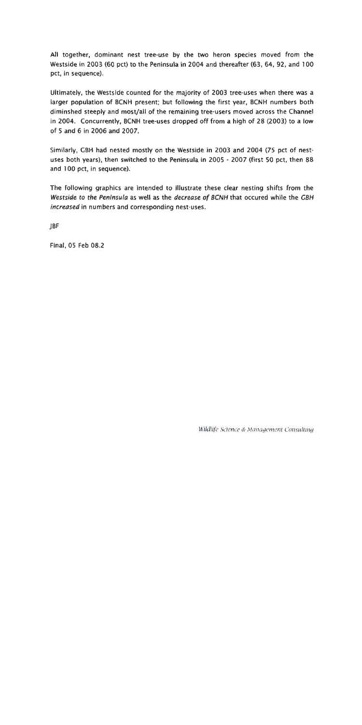All together, dominant nest tree-use by the two heron species moved from the Westside in 2003 (60 pct) to the Peninsula in 2004 and thereafter (63, 64, 92, and 100 pct, in sequence).

Ultimately, the Westside counted for the majority of 2003 tree-uses when there was a larger population of BCNH present; but following the first year, BCNH numbers both diminshed steeply and most/all of the remaining tree-users moved across the Channel in 2004. Concurrently, BCNH tree-uses dropped off from a high of 28 (2003) to a low of 5 and 6 in 2006 and 2007.

Similarly, GBH had nested mostly on the Westside in 2003 and 2004 (75 pct of nestuses both years), then switched to the Peninsula in 2005 - 2007 (first 50 pct, then 88 and 100 pct, in sequence).

The following graphics are intended to illustrate these clear nesting shifts from the Westside to the Peninsula as well as the decrease of BCNH that occured while the GBH increased in numbers and corresponding nest-uses.

**IBF** 

Final, 05 Feb 08.2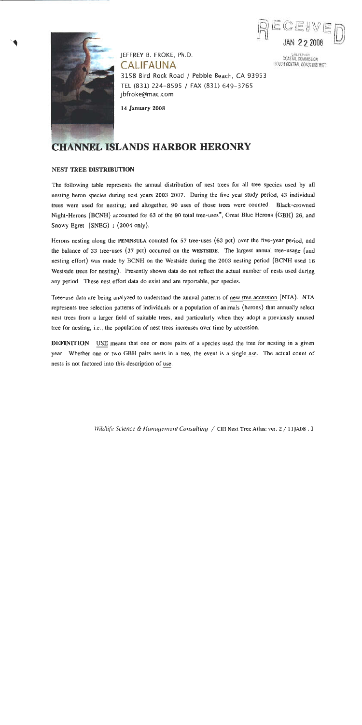

SALITORIO COASTAL COMMISSION

SOUTH CENTRAL COAST DISTRICT



IEFFREY B. FROKE, Ph.D. CALIFAUNA 3158 Bird Rock Road / Pebble Beach, CA 93953 TEL (831) 224-8595 / FAX (831) 649-3765 jbfroke@mac.com

**14 January 2008** 

# **CHANNEL ISLANDS HARBOR HERONRY**

### **NEST TREE DISTRIBUTION**

The following table represents the annual distribution of nest trees for all tree species used by all nesting heron species during nest years 2003-2007. During the five-year study period, 43 individual trees were used for nesting; and altogether, 90 uses of those trees were counted. Black-crowned Night-Herons (BCNH) accounted for 63 of the 90 total tree-uses<sup>\*</sup>, Great Blue Herons (GBH) 26, and Snowy Egret (SNEG) 1 (2004 only).

Herons nesting along the PENINSULA counted for 57 tree-uses  $(63 \text{ pet})$  over the five-year period, and the balance of 33 tree-uses (37 pct) occurred on the WESTSIDE. The largest annual tree-usage (and nesting effort) was made by BCNH on the Westside during the 2003 nesting period (BCNH used 16 Westside trees for nesting). Presently shown data do not reflect the actual number of nests used during any period. These nest effort data do exist and are reportable, per species.

Tree-use data are being analyzed to understand the annual patterns of new tree accession (NTA). NTA represents tree selection patterns of individuals or a population of animals (herons) that annually select nest trees from a larger field of suitable trees, and particularly when they adopt a previously unused tree for nesting, i.e., the population of nest trees increases over time by accession.

**DEFINITION:** USE means that one or more pairs of a species used the tree for nesting in a given year. Whether one or two GBH pairs nests in a tree, the event is a single use. The actual count of nests is not factored into this description of use.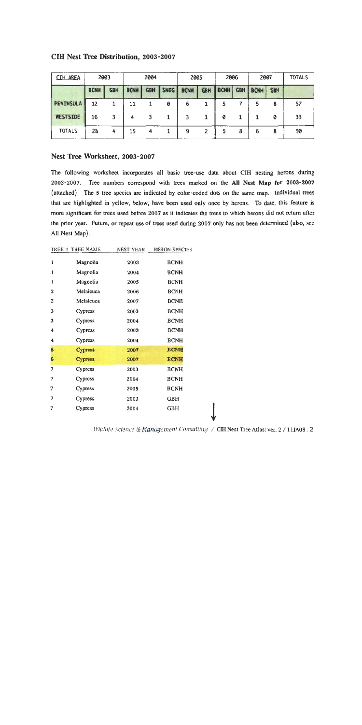| <b>CIH AREA</b>  | 2003        |            | 2004        |            | 2005 |             | 2006       |             | 2007       |             | <b>TOTALS</b> |    |
|------------------|-------------|------------|-------------|------------|------|-------------|------------|-------------|------------|-------------|---------------|----|
|                  | <b>BCNH</b> | <b>GBH</b> | <b>BCNH</b> | <b>GBH</b> | SNEG | <b>BCNH</b> | <b>GBH</b> | <b>BCNH</b> | <b>GBH</b> | <b>BCNH</b> | <b>GBH</b>    |    |
| <b>PENINSULA</b> | 12          |            | 11          |            | ø    | 6           |            |             |            |             | 8             | 57 |
| WESTSIDE         | 16          | 3          |             | 3          |      |             |            | 0           |            |             | 0             | 33 |
| <b>TOTALS</b>    | 28          | 4          | 15          | 4          |      | 9           |            |             | 8          | 6           | 8             | 90 |

### **CIH Nest Tree Distribution, 2003-2007**

### Nest Tree Worksheet, 2003-2007

The following worksheet incorporates all basic tree-use data about CIH nesting herons during 2003-2007. Tree numbers correspond with trees marked on the All Nest Map for 2003-2007 (attached). The 5 tree species are indicated by color-coded dots on the same map. Individual trees that are highlighted in yellow, below, have been used only once by herons. To date, this feature is more significant for trees used before 2007 as it indicates the trees to which herons did not return after the prior year. Future, or repeat use of trees used during 2007 only has not been determined (also, see All Nest Map).

|              | TREE # TREE NAME | NEST YEAR | <b>HERON SPECIES</b> |
|--------------|------------------|-----------|----------------------|
| I            | Magnolia         | 2003      | <b>BCNH</b>          |
| 1            | Magnolia         | 2004      | <b>BCNH</b>          |
| ı            | Magnolia         | 2005      | <b>BCNH</b>          |
| $\mathbf{z}$ | Melaleuca        | 2006      | BCNH                 |
| 2            | Melaleuca        | 2007      | <b>BCNH</b>          |
| 3            | Cypress          | 2003      | <b>BCNH</b>          |
| 3            | Cypress          | 2004      | <b>BCNH</b>          |
| 4            | Cypress          | 2003      | <b>BCNH</b>          |
| 4            | Cypress          | 2004      | <b>BCNH</b>          |
| 5            | <b>Cypress</b>   | 2007      | <b>BCNH</b>          |
| 6            | <b>Cypress</b>   | 2007      | <b>BCNH</b>          |
| 7            | Cypress          | 2003      | <b>BCNH</b>          |
| 7            | Cypress          | 2004      | <b>BCNH</b>          |
| 7            | Cypress          | 2005      | <b>BCNH</b>          |
| 7            | Cypress          | 2003      | GBH                  |
| 7            | Cypress          | 2004      | GBH                  |
|              |                  |           |                      |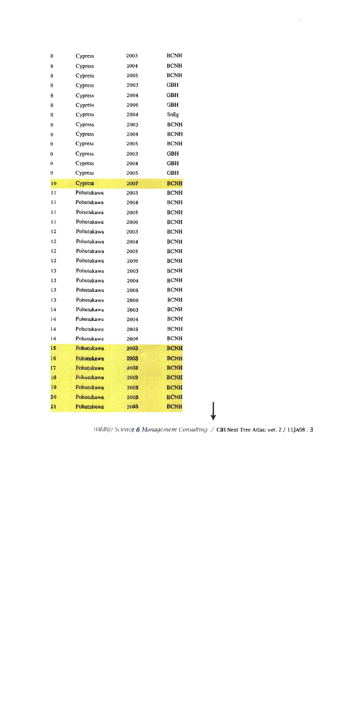| 8  | Cypress        | 2003 | <b>BCNH</b> |
|----|----------------|------|-------------|
| 8  | Cypress        | 2004 | <b>BCNH</b> |
| 8  | <b>Cypress</b> | 2005 | <b>BCNH</b> |
| 8  | Cypress        | 2003 | <b>GBH</b>  |
| 8  | Cypress        | 2004 | <b>GBH</b>  |
| 8  | Cypress        | 2006 | <b>GBH</b>  |
| 8  | Cypress        | 2004 | SnEg        |
| 9  | Cypress        | 2003 | <b>BCNH</b> |
| 9  | Cypress        | 2004 | <b>BCNH</b> |
| 9  | Cypress        | 2005 | <b>BCNH</b> |
| 9  | Cypress        | 2003 | <b>GBH</b>  |
| 9  | Cypress        | 2004 | <b>GBH</b>  |
| 9  | Cypress        | 2005 | <b>GBH</b>  |
| 10 | <b>Cypress</b> | 2007 | <b>BCNH</b> |
| 11 | Pohutukawa     | 2003 | <b>BCNH</b> |
| 11 | Pohutukawa     | 2004 | <b>BCNH</b> |
| 11 | Pohutukawa     | 2005 | <b>BCNH</b> |
| 11 | Pohutukawa     | 2006 | <b>BCNH</b> |
| 12 | Pohutukawa     | 2003 | <b>BCNH</b> |
| 12 | Pohutukawa     | 2004 | <b>BCNH</b> |
| 12 | Pohutukawa     | 2005 | <b>BCNH</b> |
| 12 | Pohutukawa     | 2006 | <b>BCNH</b> |
| 13 | Pohutukawa     | 2003 | <b>BCNH</b> |
| 13 | Pohutukawa     | 2004 | <b>BCNH</b> |
| 13 | Pohutukawa     | 2005 | <b>BCNH</b> |
| 13 | Pohutukawa     | 2006 | <b>BCNH</b> |
| 14 | Pohutukawa     | 2003 | <b>BCNH</b> |
| 14 | Pohutukawa     | 2004 | <b>BCNH</b> |
| 14 | Pohutukawa     | 2005 | <b>BCNH</b> |
| 14 | Pohutukawa     | 2006 | <b>BCNH</b> |
| 15 | Pohutukawa     | 2003 | <b>BCNH</b> |
| 16 | Pohutukawa     | 2003 | <b>BCNH</b> |
| 17 | Pohutukawa     | 2003 | <b>BCNH</b> |
| 18 | Pohutukawa     | 2003 | <b>BCNH</b> |
| 19 | Pohutukawa     | 2003 | <b>BCNH</b> |
| 20 | Pohutukawa     | 2003 | <b>BCNH</b> |
| 21 | Pohutukawa     | 2003 | <b>BCNH</b> |
|    |                |      |             |

Wildlife Science & Management Consulting / CIH Nest Tree Atlas: ver. 2 / 11JA08.3

 $\ddot{\phantom{0}}$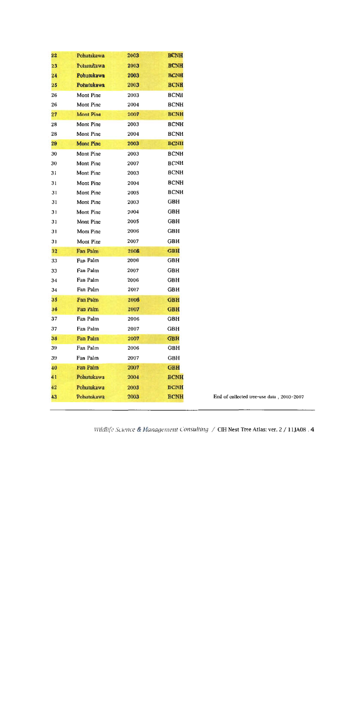| $22\phantom{.}$ | Pohutukawa       | 2003 | <b>BCNH</b> |
|-----------------|------------------|------|-------------|
| 23              | Pohutukawa       | 2003 | <b>BCNH</b> |
| 24              | Pohutukawa       | 2003 | <b>BCNH</b> |
| $25\,$          | Pohutukawa       | 2003 | <b>BCNH</b> |
| 26              | Mont Pine        | 2003 | <b>BCNH</b> |
| 26              | Mont Pine        | 2004 | <b>BCNH</b> |
| 27              | <b>Mont Pine</b> | 2007 | <b>BCNH</b> |
| 28              | Mont Pine        | 2003 | <b>BCNH</b> |
| 28              | Mont Pine        | 2004 | <b>BCNH</b> |
| 29              | <b>Mont Pine</b> | 2003 | <b>BCNH</b> |
| 30              | Mont Pine        | 2003 | <b>BCNH</b> |
| 30              | Mont Pine        | 2007 | <b>BCNH</b> |
| 31              | Mont Pine        | 2003 | <b>BCNH</b> |
| 31              | Mont Pine        | 2004 | <b>BCNH</b> |
| 31              | Mont Pine        | 2005 | <b>BCNH</b> |
| 31              | Mont Pine        | 2003 | GBH         |
| 31              | Mont Pine        | 2004 | GBH         |
| 31              | Mont Pine        | 2005 | GBH         |
| 31              | Mont Pine        | 2006 | GBH         |
| 31              | Mont Pine        | 2007 | GBH         |
| 32              | Fan Palm         | 2006 | <b>GBH</b>  |
| 33              | Fan Palm         | 2006 | <b>GBH</b>  |
| 33              | Fan Palm         | 2007 | <b>GBH</b>  |
| 34              | Fan Palm         | 2006 | GBH         |
| 34              | Fan Palm         | 2007 | GBH         |
| 35              | Fan Palm         | 2006 | <b>GBH</b>  |
| 36              | Fan Palm         | 2007 | <b>GBH</b>  |
| 37              | Fan Palm         | 2006 | <b>GBH</b>  |
| 37              | Fan Palm         | 2007 | <b>GBH</b>  |
| 38              | Fan Palm         | 2007 | <b>GBH</b>  |
| 39              | Fan Palm         | 2006 | GBH         |
| 39              | Fan Palm         | 2007 | <b>GBH</b>  |
| 40              | Fan Palm         | 2007 | <b>GBH</b>  |
| 41              | Pohutukawa       | 2004 | <b>BCNH</b> |
| 42              | Pohutukawa       | 2003 | <b>BCNH</b> |
| 43 <sup>°</sup> | Pohutukawa       | 2003 | <b>BCNH</b> |
|                 |                  |      |             |

of collected tree-use data, 2003-2007

Wildlife Science & Management Consulting / CIH Nest Tree Atlas: ver. 2 / 11JA08.4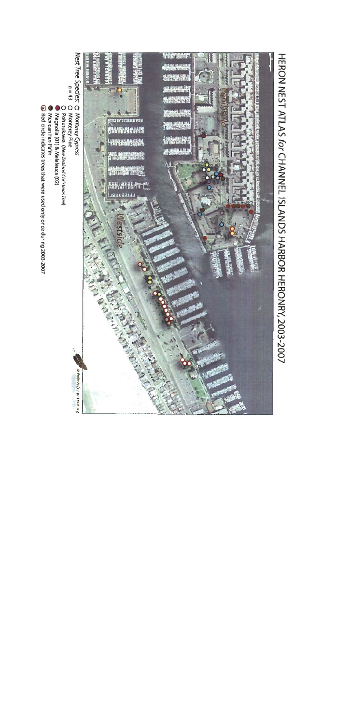

# HERON NEST ATLAS for CHANNEL ISLANDS HARBOR HERON 2003-2007

- 
- 
- 
- 
- 
- 
-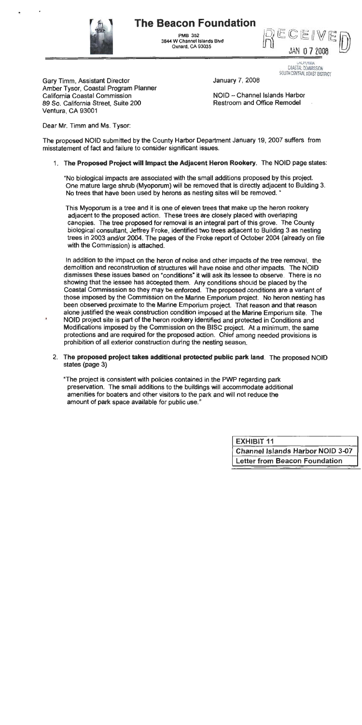# **The Beacon Foundation**



**PMR 352** 3844 W Channel Islands Blvd Oxnard, CA 93035

JAN 077008

ALIFUNNIA COASTAL COMMISSION SOUTH CENTRAL COAST DISTRICT

**Gary Timm, Assistant Director** Amber Tysor, Coastal Program Planner California Coastal Commission 89 So. California Street, Suite 200 Ventura, CA 93001

NOID - Channel Islands Harbor **Restroom and Office Remodel** 

January 7, 2008

Dear Mr. Timm and Ms. Tysor:

 $\mathbf{r}$ 

The proposed NOID submitted by the County Harbor Department January 19, 2007 suffers from misstatement of fact and failure to consider significant issues.

### 1. The Proposed Project will Impact the Adjacent Heron Rookery. The NOID page states:

"No biological impacts are associated with the small additions proposed by this project. One mature large shrub (Myoporum) will be removed that is directly adjacent to Building 3. No trees that have been used by herons as nesting sites will be removed. "

This Myoporum is a tree and it is one of eleven trees that make up the heron rookery adjacent to the proposed action. These trees are closely placed with overlaping canopies. The tree proposed for removal is an integral part of this grove. The County biological consultant, Jeffrey Froke, identified two trees adjacent to Building 3 as nesting trees in 2003 and/or 2004. The pages of the Froke report of October 2004 (already on file with the Commission) is attached.

In addition to the impact on the heron of noise and other impacts of the tree removal, the demolition and reconstruction of structures will have noise and other impacts. The NOID dismisses these issues based on "conditions" it will ask its lessee to observe. There is no showing that the lessee has accepted them. Any conditions should be placed by the Coastal Commisssion so they may be enforced. The proposed conditions are a variant of those imposed by the Commission on the Marine Emporium project. No heron nesting has been observed proximate to the Marine Emporium project. That reason and that reason alone justified the weak construction condition imposed at the Marine Emporium site. The NOID project site is part of the heron rookery identified and protected in Conditions and Modifications imposed by the Commission on the BISC project. At a minimum, the same protections and are required for the proposed action. Chief among needed provisions is prohibition of all exterior construction during the nesting season.

2. The proposed project takes additional protected public park land. The proposed NOID states (page 3)

"The project is consistent with policies contained in the PWP regarding park preservation. The small additions to the buildings will accommodate additional amenities for boaters and other visitors to the park and will not reduce the amount of park space available for public use."

| <b>EXHIBIT 11</b>                       |
|-----------------------------------------|
| <b>Channel Islands Harbor NOID 3-07</b> |
| <b>Letter from Beacon Foundation</b>    |
|                                         |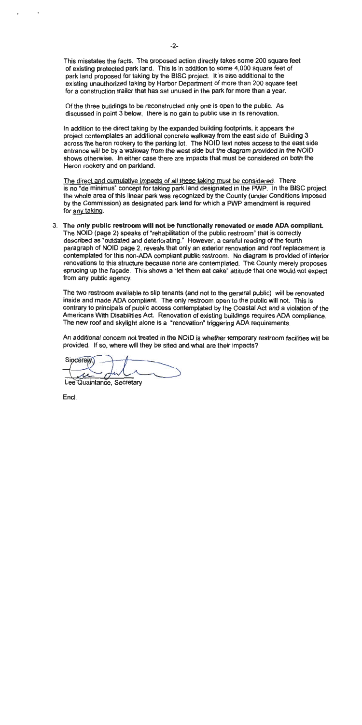This misstates the facts. The proposed action directly takes some 200 square feet of existing protected park land. This is in addition to some 4,000 square feet of park land proposed for taking by the BISC project. It is also additional to the existing unauthorized taking by Harbor Department of more than 200 square feet for a construction trailer that has sat unused in the park for more than a year.

Of the three buildings to be reconstructed only one is open to the public. As discussed in point 3 below, there is no gain to public use in its renovation.

In addition to the direct taking by the expanded building footprints, it appears the project contemplates an additional concrete walkway from the east side of Building 3 across the heron rookery to the parking lot. The NOID text notes access to the east side entrance will be by a walkway from the west side but the diagram provided in the NOID shows otherwise. In either case there are impacts that must be considered on both the Heron rookery and on parkland.

The direct and cumulative impacts of all these taking must be considered. There is no "de minimus" concept for taking park land designated in the PWP. In the BISC project the whole area of this linear park was recognized by the County (under Conditions imposed by the Commission) as designated park land for which a PWP amendment is required for any taking.

3. The only public restroom will not be functionally renovated or made ADA compliant. The NOID (page 2) speaks of "rehabilitation of the public restroom" that is correctly described as "outdated and deteriorating." However, a careful reading of the fourth paragraph of NOID page 2, reveals that only an exterior renovation and roof replacement is contemplated for this non-ADA compliant public restroom. No diagram is provided of interior renovations to this structure because norie are contemplated. The County merely proposes sprucing up the facade. This shows a "let them eat cake" attitude that one would not expect from any public agency.

The two restroom available to slip tenants (and not to the general public) will be renovated inside and made ADA compliant. The only restroom open to the public will not. This is contrary to principals of public access contemplated by the Coastal Act and a violation of the Americans With Disabilities Act. Renovation of existing buildings requires ADA compliance. The new roof and skylight alone is a "renovation" triggering ADA requirements.

An additional concern not treated in the NOID is whether temporary restroom facilities will be provided. If so, where will they be sited and what are their impacts?

**Sincerew** 

Lee Quaintance, Secretary

Encl.